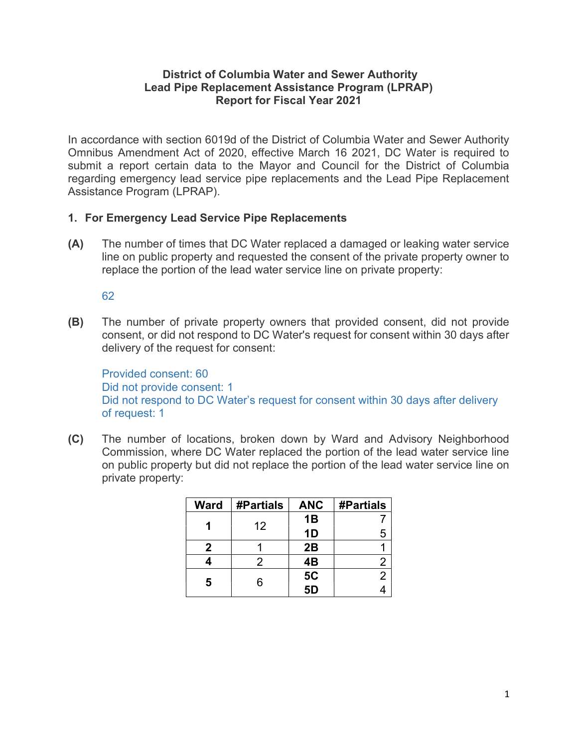## District of Columbia Water and Sewer Authority Lead Pipe Replacement Assistance Program (LPRAP) Report for Fiscal Year 2021

In accordance with section 6019d of the District of Columbia Water and Sewer Authority Omnibus Amendment Act of 2020, effective March 16 2021, DC Water is required to submit a report certain data to the Mayor and Council for the District of Columbia regarding emergency lead service pipe replacements and the Lead Pipe Replacement Assistance Program (LPRAP).

## 1. For Emergency Lead Service Pipe Replacements

(A) The number of times that DC Water replaced a damaged or leaking water service line on public property and requested the consent of the private property owner to replace the portion of the lead water service line on private property:

62

(B) The number of private property owners that provided consent, did not provide consent, or did not respond to DC Water's request for consent within 30 days after delivery of the request for consent:

Provided consent: 60 Did not provide consent: 1 Did not respond to DC Water's request for consent within 30 days after delivery of request: 1

(C) The number of locations, broken down by Ward and Advisory Neighborhood Commission, where DC Water replaced the portion of the lead water service line on public property but did not replace the portion of the lead water service line on private property:

| <b>Ward</b> | #Partials | <b>ANC</b> | <b>#Partials</b> |
|-------------|-----------|------------|------------------|
|             | 12        | 1B         |                  |
|             |           | 1D         | 5                |
| 2           |           | 2B         |                  |
|             | 2         | 4B         | 2                |
| 5           | 6         | <b>5C</b>  | $\overline{2}$   |
|             |           | 5D         |                  |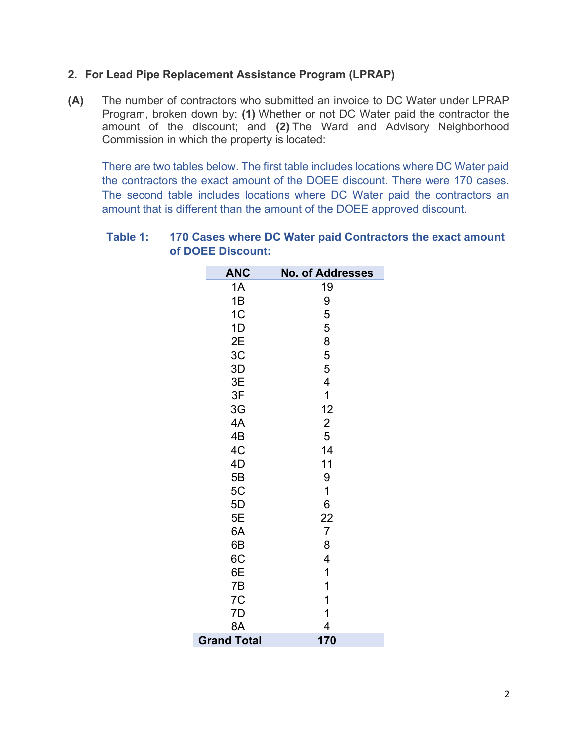## 2. For Lead Pipe Replacement Assistance Program (LPRAP)

(A) The number of contractors who submitted an invoice to DC Water under LPRAP Program, broken down by: (1) Whether or not DC Water paid the contractor the amount of the discount; and (2) The Ward and Advisory Neighborhood Commission in which the property is located:

There are two tables below. The first table includes locations where DC Water paid the contractors the exact amount of the DOEE discount. There were 170 cases. The second table includes locations where DC Water paid the contractors an amount that is different than the amount of the DOEE approved discount.

| <b>ANC</b>         | <b>No. of Addresses</b> |
|--------------------|-------------------------|
| 1A                 | 19                      |
| 1B                 | 9                       |
| 1C                 | 5                       |
| 1D                 | 5                       |
| 2E                 | 8                       |
| 3C                 | 5                       |
| 3D                 | 5                       |
| 3E                 | 4                       |
| 3F                 | $\mathbf 1$             |
| 3G                 | 12                      |
| 4A                 | $\overline{\mathbf{c}}$ |
| 4B                 | 5                       |
| 4C                 | 14                      |
| 4D                 | 11                      |
| 5B                 | 9                       |
| 5C                 | 1                       |
| 5D                 | 6                       |
| 5E                 | $\overline{22}$         |
| 6A                 | $\overline{7}$          |
| 6B                 | 8                       |
| 6C                 | 4                       |
| 6E                 | 1                       |
| 7B                 | 1                       |
| 7C                 | 1                       |
| 7D                 | 1                       |
| 8A                 | 4                       |
| <b>Grand Total</b> | 170                     |

## Table 1: 170 Cases where DC Water paid Contractors the exact amount of DOEE Discount: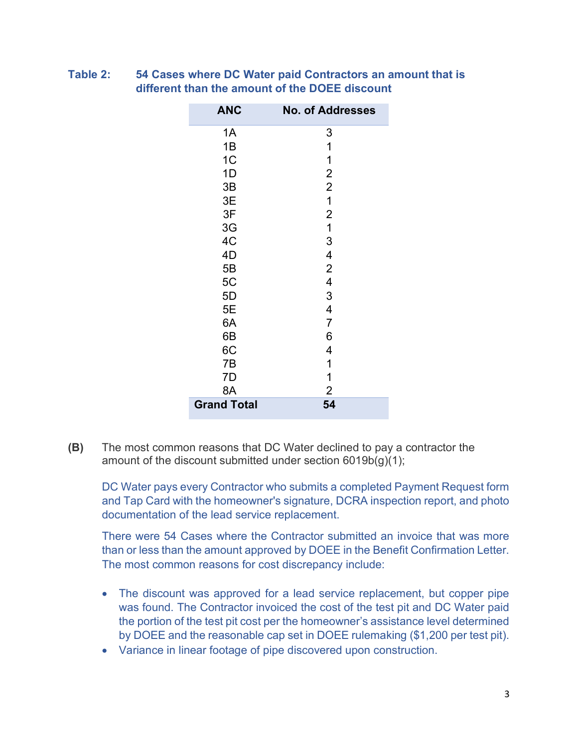| <b>ANC</b>         | <b>No. of Addresses</b>  |
|--------------------|--------------------------|
| 1A                 | 3                        |
| 1B                 | 1                        |
| 1 <sub>C</sub>     | 1                        |
| 1D                 | $\overline{c}$           |
| 3B                 | $\overline{2}$           |
| 3E                 | $\mathbf 1$              |
| 3F                 | $\overline{c}$           |
| 3G                 | $\overline{\mathbf{1}}$  |
| 4C                 | 3                        |
| 4D                 | 4                        |
| 5B                 | $\overline{2}$           |
| 5C                 | $\overline{\mathbf{4}}$  |
| 5D                 | 3                        |
| 5E                 | $\overline{\mathcal{A}}$ |
| 6A                 | $\overline{7}$           |
| 6B                 | 6                        |
| 6C                 | 4                        |
| 7B                 | 1                        |
| 7D                 | 1                        |
| 8A                 | 2                        |
| <b>Grand Total</b> | 54                       |

Table 2: 54 Cases where DC Water paid Contractors an amount that is different than the amount of the DOEE discount

(B) The most common reasons that DC Water declined to pay a contractor the amount of the discount submitted under section 6019b(g)(1);

DC Water pays every Contractor who submits a completed Payment Request form and Tap Card with the homeowner's signature, DCRA inspection report, and photo documentation of the lead service replacement.

There were 54 Cases where the Contractor submitted an invoice that was more than or less than the amount approved by DOEE in the Benefit Confirmation Letter. The most common reasons for cost discrepancy include:

- The discount was approved for a lead service replacement, but copper pipe was found. The Contractor invoiced the cost of the test pit and DC Water paid the portion of the test pit cost per the homeowner's assistance level determined by DOEE and the reasonable cap set in DOEE rulemaking (\$1,200 per test pit).
- Variance in linear footage of pipe discovered upon construction.